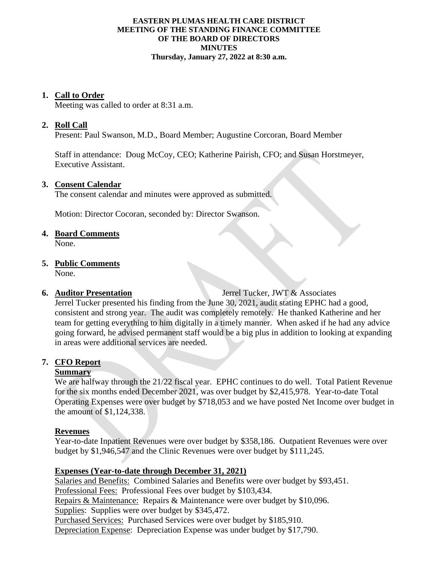#### **EASTERN PLUMAS HEALTH CARE DISTRICT MEETING OF THE STANDING FINANCE COMMITTEE OF THE BOARD OF DIRECTORS MINUTES Thursday, January 27, 2022 at 8:30 a.m.**

#### **1. Call to Order**

Meeting was called to order at 8:31 a.m.

# **2. Roll Call**

Present: Paul Swanson, M.D., Board Member; Augustine Corcoran, Board Member

Staff in attendance: Doug McCoy, CEO; Katherine Pairish, CFO; and Susan Horstmeyer, Executive Assistant.

#### **3. Consent Calendar**

The consent calendar and minutes were approved as submitted.

Motion: Director Cocoran, seconded by: Director Swanson.

#### **4. Board Comments**

None.

# **5. Public Comments**

None.

**6. Auditor Presentation** Jerrel Tucker, JWT & Associates

Jerrel Tucker presented his finding from the June 30, 2021, audit stating EPHC had a good, consistent and strong year. The audit was completely remotely. He thanked Katherine and her team for getting everything to him digitally in a timely manner. When asked if he had any advice going forward, he advised permanent staff would be a big plus in addition to looking at expanding in areas were additional services are needed.

# **7. CFO Report**

# **Summary**

We are halfway through the 21/22 fiscal year. EPHC continues to do well. Total Patient Revenue for the six months ended December 2021, was over budget by \$2,415,978. Year-to-date Total Operating Expenses were over budget by \$718,053 and we have posted Net Income over budget in the amount of \$1,124,338.

# **Revenues**

Year-to-date Inpatient Revenues were over budget by \$358,186. Outpatient Revenues were over budget by \$1,946,547 and the Clinic Revenues were over budget by \$111,245.

# **Expenses (Year-to-date through December 31, 2021)**

Salaries and Benefits: Combined Salaries and Benefits were over budget by \$93,451. Professional Fees: Professional Fees over budget by \$103,434. Repairs & Maintenance: Repairs & Maintenance were over budget by \$10,096. Supplies: Supplies were over budget by \$345,472. Purchased Services: Purchased Services were over budget by \$185,910. Depreciation Expense: Depreciation Expense was under budget by \$17,790.